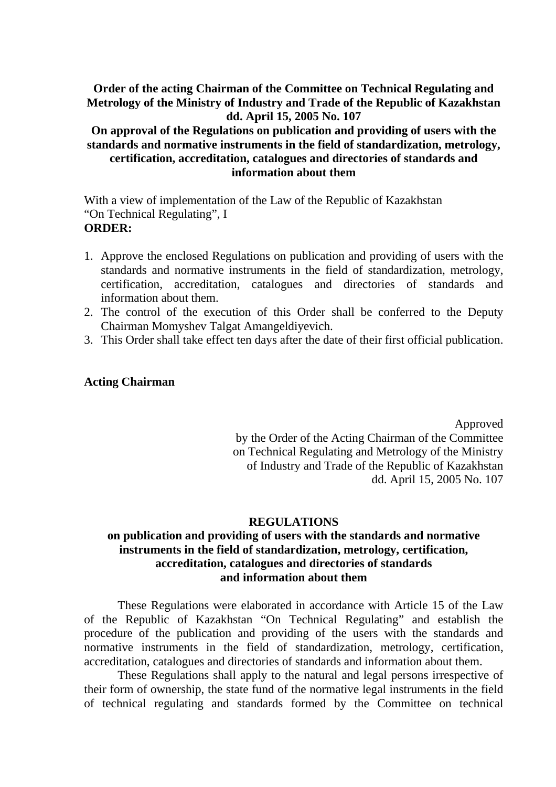# **Order of the acting Chairman of the Committee on Technical Regulating and Metrology of the Ministry of Industry and Trade of the Republic of Kazakhstan dd. April 15, 2005 No. 107**

# **On approval of the Regulations on publication and providing of users with the standards and normative instruments in the field of standardization, metrology, certification, accreditation, catalogues and directories of standards and information about them**

With a view of implementation of the Law of the Republic of Kazakhstan "On Technical Regulating", I **ORDER:** 

- 1. Approve the enclosed Regulations on publication and providing of users with the standards and normative instruments in the field of standardization, metrology, certification, accreditation, catalogues and directories of standards and information about them.
- 2. The control of the execution of this Order shall be conferred to the Deputy Chairman Momyshev Talgat Amangeldiyevich.
- 3. This Order shall take effect ten days after the date of their first official publication.

### **Acting Chairman**

Approved by the Order of the Acting Chairman of the Committee on Technical Regulating and Metrology of the Ministry of Industry and Trade of the Republic of Kazakhstan dd. April 15, 2005 No. 107

#### **REGULATIONS**

# **on publication and providing of users with the standards and normative instruments in the field of standardization, metrology, certification, accreditation, catalogues and directories of standards and information about them**

These Regulations were elaborated in accordance with Article 15 of the Law of the Republic of Kazakhstan "On Technical Regulating" and establish the procedure of the publication and providing of the users with the standards and normative instruments in the field of standardization, metrology, certification, accreditation, catalogues and directories of standards and information about them.

These Regulations shall apply to the natural and legal persons irrespective of their form of ownership, the state fund of the normative legal instruments in the field of technical regulating and standards formed by the Committee on technical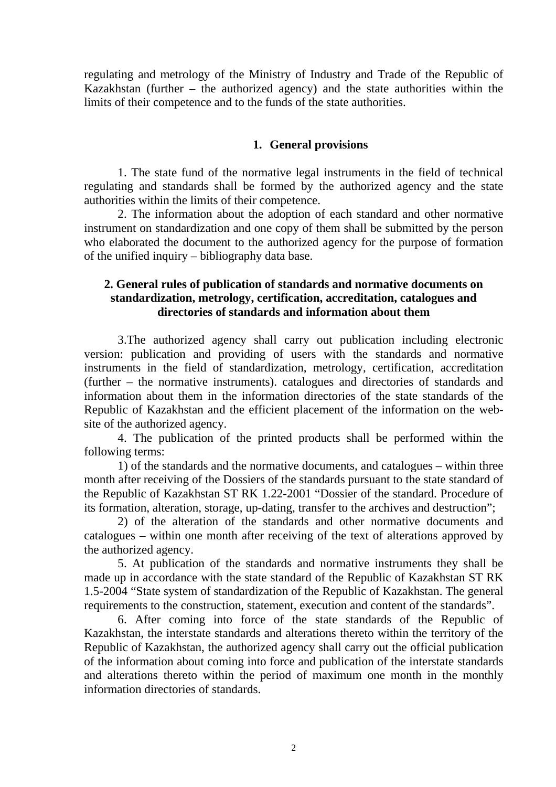regulating and metrology of the Ministry of Industry and Trade of the Republic of Kazakhstan (further – the authorized agency) and the state authorities within the limits of their competence and to the funds of the state authorities.

#### **1. General provisions**

1. The state fund of the normative legal instruments in the field of technical regulating and standards shall be formed by the authorized agency and the state authorities within the limits of their competence.

2. The information about the adoption of each standard and other normative instrument on standardization and one copy of them shall be submitted by the person who elaborated the document to the authorized agency for the purpose of formation of the unified inquiry – bibliography data base.

### **2. General rules of publication of standards and normative documents on standardization, metrology, certification, accreditation, catalogues and directories of standards and information about them**

3.The authorized agency shall carry out publication including electronic version: publication and providing of users with the standards and normative instruments in the field of standardization, metrology, certification, accreditation (further – the normative instruments). catalogues and directories of standards and information about them in the information directories of the state standards of the Republic of Kazakhstan and the efficient placement of the information on the website of the authorized agency.

4. The publication of the printed products shall be performed within the following terms:

1) of the standards and the normative documents, and catalogues – within three month after receiving of the Dossiers of the standards pursuant to the state standard of the Republic of Kazakhstan ST RK 1.22-2001 "Dossier of the standard. Procedure of its formation, alteration, storage, up-dating, transfer to the archives and destruction";

2) of the alteration of the standards and other normative documents and catalogues – within one month after receiving of the text of alterations approved by the authorized agency.

5. At publication of the standards and normative instruments they shall be made up in accordance with the state standard of the Republic of Kazakhstan ST RK 1.5-2004 "State system of standardization of the Republic of Kazakhstan. The general requirements to the construction, statement, execution and content of the standards".

6. After coming into force of the state standards of the Republic of Kazakhstan, the interstate standards and alterations thereto within the territory of the Republic of Kazakhstan, the authorized agency shall carry out the official publication of the information about coming into force and publication of the interstate standards and alterations thereto within the period of maximum one month in the monthly information directories of standards.